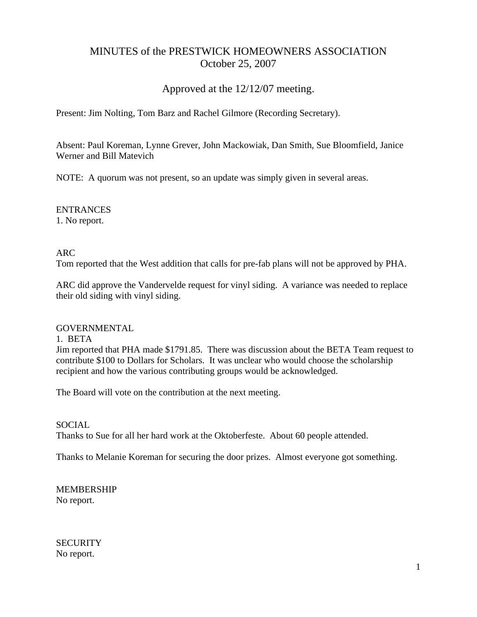# MINUTES of the PRESTWICK HOMEOWNERS ASSOCIATION October 25, 2007

## Approved at the 12/12/07 meeting.

Present: Jim Nolting, Tom Barz and Rachel Gilmore (Recording Secretary).

Absent: Paul Koreman, Lynne Grever, John Mackowiak, Dan Smith, Sue Bloomfield, Janice Werner and Bill Matevich

NOTE: A quorum was not present, so an update was simply given in several areas.

ENTRANCES 1. No report.

### ARC

Tom reported that the West addition that calls for pre-fab plans will not be approved by PHA.

ARC did approve the Vandervelde request for vinyl siding. A variance was needed to replace their old siding with vinyl siding.

#### GOVERNMENTAL

1. BETA

Jim reported that PHA made \$1791.85. There was discussion about the BETA Team request to contribute \$100 to Dollars for Scholars. It was unclear who would choose the scholarship recipient and how the various contributing groups would be acknowledged.

The Board will vote on the contribution at the next meeting.

#### **SOCIAL**

Thanks to Sue for all her hard work at the Oktoberfeste. About 60 people attended.

Thanks to Melanie Koreman for securing the door prizes. Almost everyone got something.

MEMBERSHIP No report.

**SECURITY** No report.